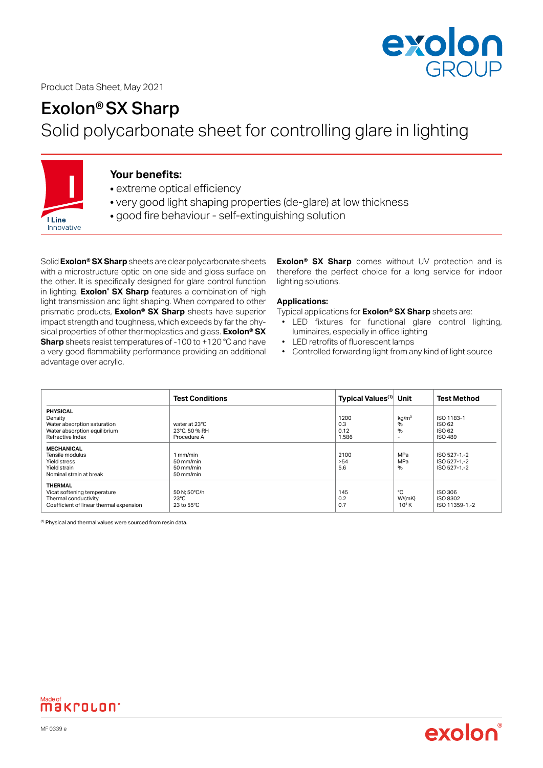

## Product Data Sheet, May 2021

# Exolon®SX Sharp

Solid polycarbonate sheet for controlling glare in lighting



**I** Line Innovative

# **Your benefits:**

- extreme optical efficiency
- very good light shaping properties (de-glare) at low thickness
- good fire behaviour self-extinguishing solution

Solid **Exolon® SX Sharp** sheets are clear polycarbonate sheets with a microstructure optic on one side and gloss surface on the other. It is specifically designed for glare control function in lighting. **Exolon® SX Sharp** features a combination of high light transmission and light shaping. When compared to other prismatic products, **Exolon® SX Sharp** sheets have superior impact strength and toughness, which exceeds by far the physical properties of other thermoplastics and glass. **Exolon® SX Sharp** sheets resist temperatures of -100 to +120 °C and have a very good flammability performance providing an additional advantage over acrylic.

**Exolon® SX Sharp** comes without UV protection and is therefore the perfect choice for a long service for indoor lighting solutions.

### **Applications:**

Typical applications for **Exolon® SX Sharp** sheets are:

• LED fixtures for functional glare control lighting, luminaires, especially in office lighting

exolor

- LED retrofits of fluorescent lamps
- Controlled forwarding light from any kind of light source

|                                                                                                                  | <b>Test Conditions</b>                                      | Typical Values <sup>(1)</sup> Unit |                                                         | <b>Test Method</b>                               |
|------------------------------------------------------------------------------------------------------------------|-------------------------------------------------------------|------------------------------------|---------------------------------------------------------|--------------------------------------------------|
| <b>PHYSICAL</b><br>Density<br>Water absorption saturation<br>Water absorption equilibrium<br>Refractive Index    | water at 23°C<br>23°C, 50 % RH<br>Procedure A               | 1200<br>0.3<br>0.12<br>1,586       | kg/m <sup>3</sup><br>%<br>%<br>$\overline{\phantom{a}}$ | ISO 1183-1<br>ISO 62<br>ISO 62<br><b>ISO 489</b> |
| <b>MECHANICAL</b><br>Tensile modulus<br>Yield stress<br>Yield strain<br>Nominal strain at break                  | 1 mm/min<br>$50 \text{ mm/min}$<br>$50$ mm/min<br>50 mm/min | 2100<br>> 54<br>5.6                | MPa<br>MPa<br>$\%$                                      | ISO 527-1-2<br>ISO 527-1-2<br>ISO 527-1-2        |
| <b>THERMAL</b><br>Vicat softening temperature<br>Thermal conductivity<br>Coefficient of linear thermal expension | 50 N: 50°C/h<br>$23^{\circ}$ C<br>$23$ to $55^{\circ}$ C    | 145<br>0.2<br>0.7                  | ۰c<br>W/(mK)<br>10 <sup>4</sup> K                       | ISO 306<br>ISO 8302<br>ISO 11359-1-2             |

(1) Physical and thermal values were sourced from resin data.